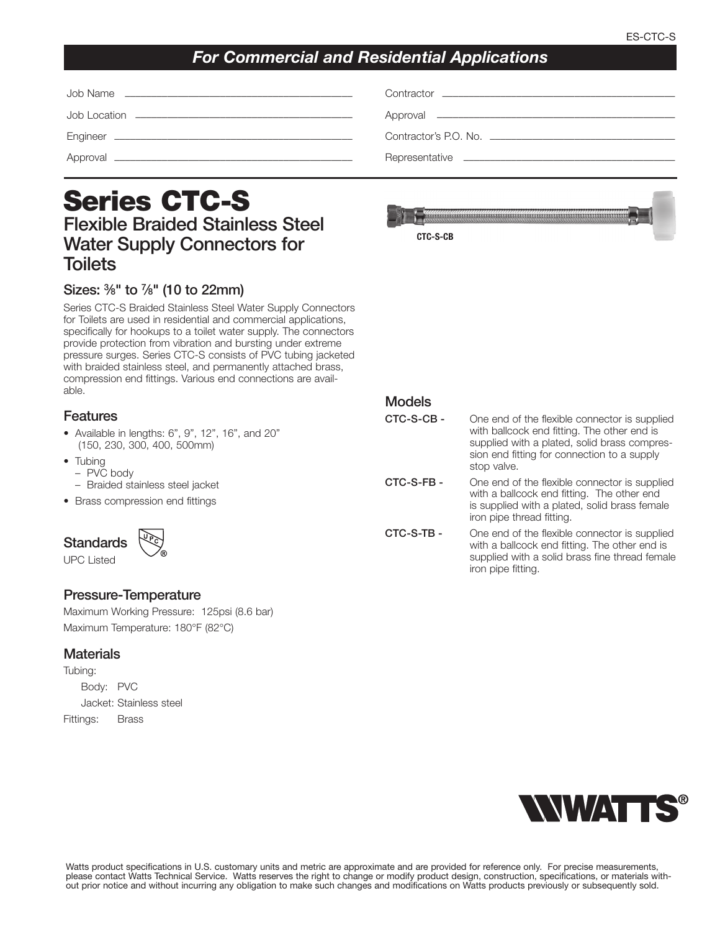## *For Commercial and Residential Applications*

| Contractor's P.O. No. |
|-----------------------|
|                       |

# **Series CTC-S Flexible Braided Stainless Steel Water Supply Connectors for Toilets**

### **Sizes: 3⁄8" to 7⁄8" (10 to 22mm)**

Series CTC-S Braided Stainless Steel Water Supply Connectors for Toilets are used in residential and commercial applications, specifically for hookups to a toilet water supply. The connectors provide protection from vibration and bursting under extreme pressure surges. Series CTC-S consists of PVC tubing jacketed with braided stainless steel, and permanently attached brass, compression end fittings. Various end connections are available.

### **Features**

- Available in lengths: 6", 9", 12", 16", and 20" (150, 230, 300, 400, 500mm)
- Tubing
	- PVC body
- Braided stainless steel jacket
- Brass compression end fittings



UPC Listed

#### **Pressure-Temperature**

Maximum Working Pressure: 125psi (8.6 bar) Maximum Temperature: 180°F (82°C)

#### **Materials**

Tubing: Body: PVC Jacket: Stainless steel Fittings: Brass

| <b>CTC-S-CB</b> |  |
|-----------------|--|



**CTC-S-CB -** One end of the flexible connector is supplied with ballcock end fitting. The other end is supplied with a plated, solid brass compression end fitting for connection to a supply stop valve.

**CTC-S-FB -** One end of the flexible connector is supplied with a ballcock end fitting. The other end is supplied with a plated, solid brass female iron pipe thread fitting.

**CTC-S-TB -** One end of the flexible connector is supplied with a ballcock end fitting. The other end is supplied with a solid brass fine thread female iron pipe fitting.